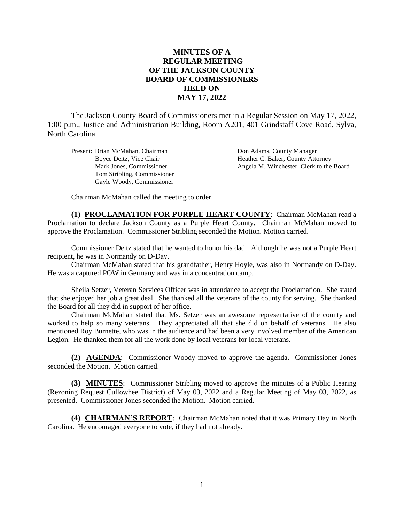### **MINUTES OF A REGULAR MEETING OF THE JACKSON COUNTY BOARD OF COMMISSIONERS HELD ON MAY 17, 2022**

The Jackson County Board of Commissioners met in a Regular Session on May 17, 2022, 1:00 p.m., Justice and Administration Building, Room A201, 401 Grindstaff Cove Road, Sylva, North Carolina.

Present: Brian McMahan, Chairman **Don Adams, County Manager** Tom Stribling, Commissioner Gayle Woody, Commissioner

Boyce Deitz, Vice Chair **Heather C. Baker, County Attorney** Mark Jones, Commissioner **Angela M. Winchester, Clerk to the Board** 

Chairman McMahan called the meeting to order.

**(1) PROCLAMATION FOR PURPLE HEART COUNTY**: Chairman McMahan read a Proclamation to declare Jackson County as a Purple Heart County. Chairman McMahan moved to approve the Proclamation. Commissioner Stribling seconded the Motion. Motion carried.

Commissioner Deitz stated that he wanted to honor his dad. Although he was not a Purple Heart recipient, he was in Normandy on D-Day.

Chairman McMahan stated that his grandfather, Henry Hoyle, was also in Normandy on D-Day. He was a captured POW in Germany and was in a concentration camp.

Sheila Setzer, Veteran Services Officer was in attendance to accept the Proclamation. She stated that she enjoyed her job a great deal. She thanked all the veterans of the county for serving. She thanked the Board for all they did in support of her office.

Chairman McMahan stated that Ms. Setzer was an awesome representative of the county and worked to help so many veterans. They appreciated all that she did on behalf of veterans. He also mentioned Roy Burnette, who was in the audience and had been a very involved member of the American Legion. He thanked them for all the work done by local veterans for local veterans.

**(2) AGENDA**: Commissioner Woody moved to approve the agenda. Commissioner Jones seconded the Motion. Motion carried.

**(3) MINUTES**: Commissioner Stribling moved to approve the minutes of a Public Hearing (Rezoning Request Cullowhee District) of May 03, 2022 and a Regular Meeting of May 03, 2022, as presented. Commissioner Jones seconded the Motion. Motion carried.

**(4) CHAIRMAN'S REPORT**: Chairman McMahan noted that it was Primary Day in North Carolina. He encouraged everyone to vote, if they had not already.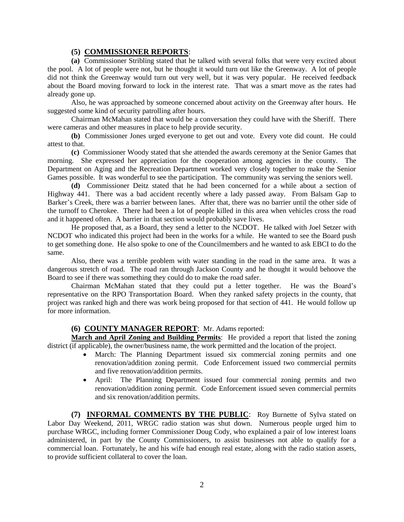#### **(5) COMMISSIONER REPORTS**:

**(a)** Commissioner Stribling stated that he talked with several folks that were very excited about the pool. A lot of people were not, but he thought it would turn out like the Greenway. A lot of people did not think the Greenway would turn out very well, but it was very popular. He received feedback about the Board moving forward to lock in the interest rate. That was a smart move as the rates had already gone up.

Also, he was approached by someone concerned about activity on the Greenway after hours. He suggested some kind of security patrolling after hours.

Chairman McMahan stated that would be a conversation they could have with the Sheriff. There were cameras and other measures in place to help provide security.

**(b)** Commissioner Jones urged everyone to get out and vote. Every vote did count. He could attest to that.

**(c)** Commissioner Woody stated that she attended the awards ceremony at the Senior Games that morning. She expressed her appreciation for the cooperation among agencies in the county. The Department on Aging and the Recreation Department worked very closely together to make the Senior Games possible. It was wonderful to see the participation. The community was serving the seniors well.

**(d)** Commissioner Deitz stated that he had been concerned for a while about a section of Highway 441. There was a bad accident recently where a lady passed away. From Balsam Gap to Barker's Creek, there was a barrier between lanes. After that, there was no barrier until the other side of the turnoff to Cherokee. There had been a lot of people killed in this area when vehicles cross the road and it happened often. A barrier in that section would probably save lives.

He proposed that, as a Board, they send a letter to the NCDOT. He talked with Joel Setzer with NCDOT who indicated this project had been in the works for a while. He wanted to see the Board push to get something done. He also spoke to one of the Councilmembers and he wanted to ask EBCI to do the same.

Also, there was a terrible problem with water standing in the road in the same area. It was a dangerous stretch of road. The road ran through Jackson County and he thought it would behoove the Board to see if there was something they could do to make the road safer.

Chairman McMahan stated that they could put a letter together. He was the Board's representative on the RPO Transportation Board. When they ranked safety projects in the county, that project was ranked high and there was work being proposed for that section of 441. He would follow up for more information.

### **(6) COUNTY MANAGER REPORT**: Mr. Adams reported:

**March and April Zoning and Building Permits**: He provided a report that listed the zoning district (if applicable), the owner/business name, the work permitted and the location of the project.

- March: The Planning Department issued six commercial zoning permits and one renovation/addition zoning permit. Code Enforcement issued two commercial permits and five renovation/addition permits.
- April: The Planning Department issued four commercial zoning permits and two renovation/addition zoning permit. Code Enforcement issued seven commercial permits and six renovation/addition permits.

**(7) INFORMAL COMMENTS BY THE PUBLIC**: Roy Burnette of Sylva stated on Labor Day Weekend, 2011, WRGC radio station was shut down. Numerous people urged him to purchase WRGC, including former Commissioner Doug Cody, who explained a pair of low interest loans administered, in part by the County Commissioners, to assist businesses not able to qualify for a commercial loan. Fortunately, he and his wife had enough real estate, along with the radio station assets, to provide sufficient collateral to cover the loan.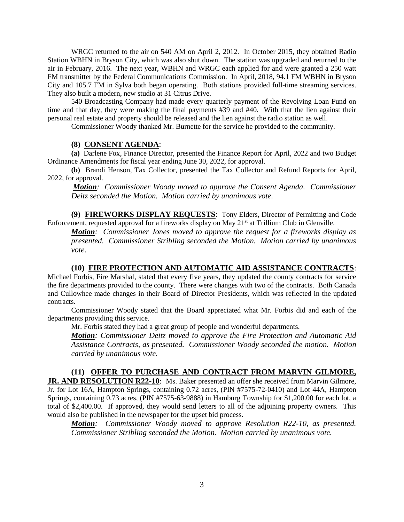WRGC returned to the air on 540 AM on April 2, 2012. In October 2015, they obtained Radio Station WBHN in Bryson City, which was also shut down. The station was upgraded and returned to the air in February, 2016. The next year, WBHN and WRGC each applied for and were granted a 250 watt FM transmitter by the Federal Communications Commission. In April, 2018, 94.1 FM WBHN in Bryson City and 105.7 FM in Sylva both began operating. Both stations provided full-time streaming services. They also built a modern, new studio at 31 Citrus Drive.

540 Broadcasting Company had made every quarterly payment of the Revolving Loan Fund on time and that day, they were making the final payments #39 and #40. With that the lien against their personal real estate and property should be released and the lien against the radio station as well.

Commissioner Woody thanked Mr. Burnette for the service he provided to the community.

#### **(8) CONSENT AGENDA**:

**(a)** Darlene Fox, Finance Director, presented the Finance Report for April, 2022 and two Budget Ordinance Amendments for fiscal year ending June 30, 2022, for approval.

**(b)** Brandi Henson, Tax Collector, presented the Tax Collector and Refund Reports for April, 2022, for approval.

*Motion: Commissioner Woody moved to approve the Consent Agenda. Commissioner Deitz seconded the Motion. Motion carried by unanimous vote.*

**(9) FIREWORKS DISPLAY REQUESTS**: Tony Elders, Director of Permitting and Code Enforcement, requested approval for a fireworks display on May 21<sup>st</sup> at Trillium Club in Glenville.

*Motion: Commissioner Jones moved to approve the request for a fireworks display as presented. Commissioner Stribling seconded the Motion. Motion carried by unanimous vote*.

#### **(10) FIRE PROTECTION AND AUTOMATIC AID ASSISTANCE CONTRACTS**:

Michael Forbis, Fire Marshal, stated that every five years, they updated the county contracts for service the fire departments provided to the county. There were changes with two of the contracts. Both Canada and Cullowhee made changes in their Board of Director Presidents, which was reflected in the updated contracts.

Commissioner Woody stated that the Board appreciated what Mr. Forbis did and each of the departments providing this service.

Mr. Forbis stated they had a great group of people and wonderful departments.

*Motion: Commissioner Deitz moved to approve the Fire Protection and Automatic Aid Assistance Contracts, as presented. Commissioner Woody seconded the motion. Motion carried by unanimous vote.*

#### **(11) OFFER TO PURCHASE AND CONTRACT FROM MARVIN GILMORE,**

**JR. AND RESOLUTION R22-10:** Ms. Baker presented an offer she received from Marvin Gilmore, Jr. for Lot 16A, Hampton Springs, containing 0.72 acres, (PIN #7575-72-0410) and Lot 44A, Hampton Springs, containing 0.73 acres, (PIN #7575-63-9888) in Hamburg Township for \$1,200.00 for each lot, a total of \$2,400.00. If approved, they would send letters to all of the adjoining property owners. This would also be published in the newspaper for the upset bid process.

*Motion: Commissioner Woody moved to approve Resolution R22-10, as presented. Commissioner Stribling seconded the Motion. Motion carried by unanimous vote.*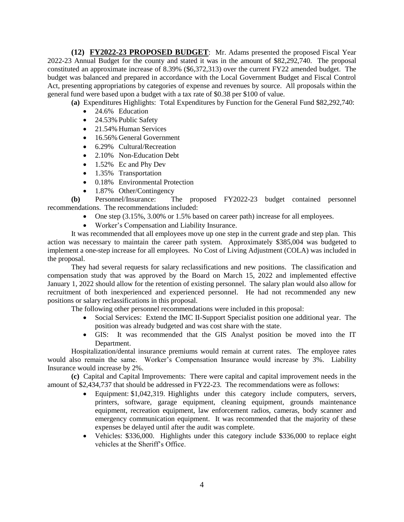**(12) FY2022-23 PROPOSED BUDGET**: Mr. Adams presented the proposed Fiscal Year 2022-23 Annual Budget for the county and stated it was in the amount of \$82,292,740. The proposal constituted an approximate increase of 8.39% (\$6,372,313) over the current FY22 amended budget. The budget was balanced and prepared in accordance with the Local Government Budget and Fiscal Control Act, presenting appropriations by categories of expense and revenues by source. All proposals within the general fund were based upon a budget with a tax rate of \$0.38 per \$100 of value.

**(a)** Expenditures Highlights: Total Expenditures by Function for the General Fund \$82,292,740:

- 24.6% Education
- 24.53% Public Safety
- 21.54% Human Services
- 16.56% General Government
- 6.29% Cultural/Recreation
- 2.10% Non-Education Debt
- $\bullet$  1.52% Ec and Phy Dev
- 1.35% Transportation
- 0.18% Environmental Protection
- 1.87% Other/Contingency

**(b)** Personnel/Insurance: The proposed FY2022-23 budget contained personnel recommendations. The recommendations included:

- One step (3.15%, 3.00% or 1.5% based on career path) increase for all employees.
- Worker's Compensation and Liability Insurance.

It was recommended that all employees move up one step in the current grade and step plan. This action was necessary to maintain the career path system. Approximately \$385,004 was budgeted to implement a one-step increase for all employees. No Cost of Living Adjustment (COLA) was included in the proposal.

They had several requests for salary reclassifications and new positions. The classification and compensation study that was approved by the Board on March 15, 2022 and implemented effective January 1, 2022 should allow for the retention of existing personnel. The salary plan would also allow for recruitment of both inexperienced and experienced personnel. He had not recommended any new positions or salary reclassifications in this proposal.

The following other personnel recommendations were included in this proposal:

- Social Services: Extend the IMC II-Support Specialist position one additional year. The position was already budgeted and was cost share with the state.
- GIS: It was recommended that the GIS Analyst position be moved into the IT Department.

Hospitalization/dental insurance premiums would remain at current rates. The employee rates would also remain the same. Worker's Compensation Insurance would increase by 3%. Liability Insurance would increase by 2%.

**(c)** Capital and Capital Improvements: There were capital and capital improvement needs in the amount of \$2,434,737 that should be addressed in FY22-23. The recommendations were as follows:

- Equipment: \$1,042,319. Highlights under this category include computers, servers, printers, software, garage equipment, cleaning equipment, grounds maintenance equipment, recreation equipment, law enforcement radios, cameras, body scanner and emergency communication equipment. It was recommended that the majority of these expenses be delayed until after the audit was complete.
- Vehicles: \$336,000. Highlights under this category include \$336,000 to replace eight vehicles at the Sheriff's Office.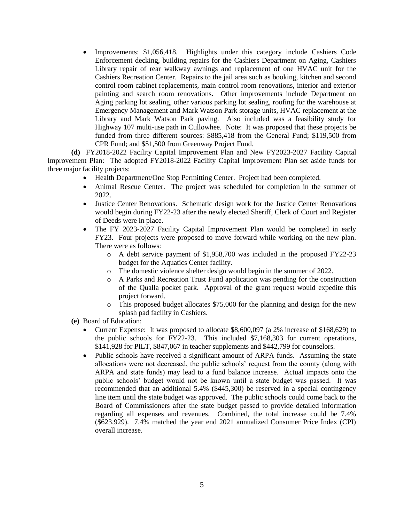• Improvements: \$1,056,418. Highlights under this category include Cashiers Code Enforcement decking, building repairs for the Cashiers Department on Aging, Cashiers Library repair of rear walkway awnings and replacement of one HVAC unit for the Cashiers Recreation Center. Repairs to the jail area such as booking, kitchen and second control room cabinet replacements, main control room renovations, interior and exterior painting and search room renovations. Other improvements include Department on Aging parking lot sealing, other various parking lot sealing, roofing for the warehouse at Emergency Management and Mark Watson Park storage units, HVAC replacement at the Library and Mark Watson Park paving. Also included was a feasibility study for Highway 107 multi-use path in Cullowhee. Note: It was proposed that these projects be funded from three different sources: \$885,418 from the General Fund; \$119,500 from CPR Fund; and \$51,500 from Greenway Project Fund.

**(d)** FY2018-2022 Facility Capital Improvement Plan and New FY2023-2027 Facility Capital Improvement Plan: The adopted FY2018-2022 Facility Capital Improvement Plan set aside funds for three major facility projects:

- Health Department/One Stop Permitting Center. Project had been completed.
- Animal Rescue Center. The project was scheduled for completion in the summer of 2022.
- Justice Center Renovations. Schematic design work for the Justice Center Renovations would begin during FY22-23 after the newly elected Sheriff, Clerk of Court and Register of Deeds were in place.
- The FY 2023-2027 Facility Capital Improvement Plan would be completed in early FY23. Four projects were proposed to move forward while working on the new plan. There were as follows:
	- o A debt service payment of \$1,958,700 was included in the proposed FY22-23 budget for the Aquatics Center facility.
	- The domestic violence shelter design would begin in the summer of 2022.
	- o A Parks and Recreation Trust Fund application was pending for the construction of the Qualla pocket park. Approval of the grant request would expedite this project forward.
	- o This proposed budget allocates \$75,000 for the planning and design for the new splash pad facility in Cashiers.
- **(e)** Board of Education:
	- Current Expense: It was proposed to allocate \$8,600,097 (a 2% increase of \$168,629) to the public schools for FY22-23. This included \$7,168,303 for current operations, \$141,928 for PILT, \$847,067 in teacher supplements and \$442,799 for counselors.
	- Public schools have received a significant amount of ARPA funds. Assuming the state allocations were not decreased, the public schools' request from the county (along with ARPA and state funds) may lead to a fund balance increase. Actual impacts onto the public schools' budget would not be known until a state budget was passed. It was recommended that an additional 5.4% (\$445,300) be reserved in a special contingency line item until the state budget was approved. The public schools could come back to the Board of Commissioners after the state budget passed to provide detailed information regarding all expenses and revenues. Combined, the total increase could be 7.4% (\$623,929). 7.4% matched the year end 2021 annualized Consumer Price Index (CPI) overall increase.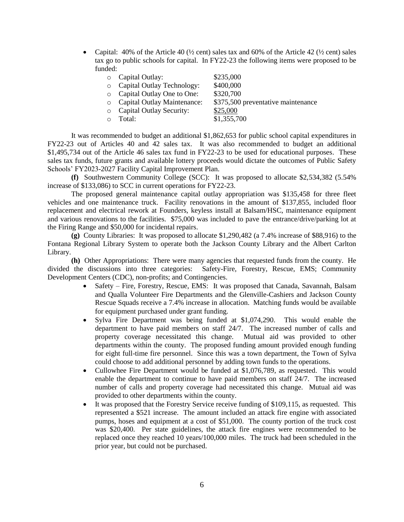• Capital: 40% of the Article 40 ( $\frac{1}{2}$  cent) sales tax and 60% of the Article 42 ( $\frac{1}{2}$  cent) sales tax go to public schools for capital. In FY22-23 the following items were proposed to be funded:

| $\circ$ Capital Outlay:       | \$235,000                          |
|-------------------------------|------------------------------------|
| o Capital Outlay Technology:  | \$400,000                          |
| • Capital Outlay One to One:  | \$320,700                          |
| o Capital Outlay Maintenance: | \$375,500 preventative maintenance |
| o Capital Outlay Security:    | \$25,000                           |
| Total:                        | \$1,355,700                        |

It was recommended to budget an additional \$1,862,653 for public school capital expenditures in FY22-23 out of Articles 40 and 42 sales tax. It was also recommended to budget an additional \$1,495,734 out of the Article 46 sales tax fund in FY22-23 to be used for educational purposes. These sales tax funds, future grants and available lottery proceeds would dictate the outcomes of Public Safety Schools' FY2023-2027 Facility Capital Improvement Plan.

**(f)** Southwestern Community College (SCC): It was proposed to allocate \$2,534,382 (5.54% increase of \$133,086) to SCC in current operations for FY22-23.

The proposed general maintenance capital outlay appropriation was \$135,458 for three fleet vehicles and one maintenance truck. Facility renovations in the amount of \$137,855, included floor replacement and electrical rework at Founders, keyless install at Balsam/HSC, maintenance equipment and various renovations to the facilities. \$75,000 was included to pave the entrance/drive/parking lot at the Firing Range and \$50,000 for incidental repairs.

**(g)** County Libraries: It was proposed to allocate \$1,290,482 (a 7.4% increase of \$88,916) to the Fontana Regional Library System to operate both the Jackson County Library and the Albert Carlton Library.

**(h)** Other Appropriations: There were many agencies that requested funds from the county. He divided the discussions into three categories: Safety-Fire, Forestry, Rescue, EMS; Community Development Centers (CDC), non-profits; and Contingencies.

- Safety Fire, Forestry, Rescue, EMS: It was proposed that Canada, Savannah, Balsam and Qualla Volunteer Fire Departments and the Glenville-Cashiers and Jackson County Rescue Squads receive a 7.4% increase in allocation. Matching funds would be available for equipment purchased under grant funding.
- Sylva Fire Department was being funded at \$1,074,290. This would enable the department to have paid members on staff 24/7. The increased number of calls and property coverage necessitated this change. Mutual aid was provided to other departments within the county. The proposed funding amount provided enough funding for eight full-time fire personnel. Since this was a town department, the Town of Sylva could choose to add additional personnel by adding town funds to the operations.
- Cullowhee Fire Department would be funded at \$1,076,789, as requested. This would enable the department to continue to have paid members on staff 24/7. The increased number of calls and property coverage had necessitated this change. Mutual aid was provided to other departments within the county.
- It was proposed that the Forestry Service receive funding of \$109,115, as requested. This represented a \$521 increase. The amount included an attack fire engine with associated pumps, hoses and equipment at a cost of \$51,000. The county portion of the truck cost was \$20,400. Per state guidelines, the attack fire engines were recommended to be replaced once they reached 10 years/100,000 miles. The truck had been scheduled in the prior year, but could not be purchased.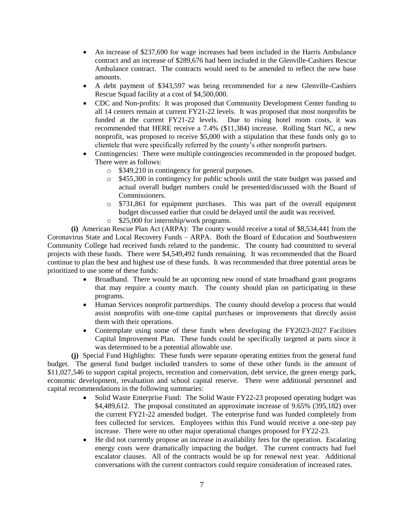- An increase of \$237,690 for wage increases had been included in the Harris Ambulance contract and an increase of \$289,676 had been included in the Glenville-Cashiers Rescue Ambulance contract. The contracts would need to be amended to reflect the new base amounts.
- A debt payment of \$343,597 was being recommended for a new Glenville-Cashiers Rescue Squad facility at a cost of \$4,500,000.
- CDC and Non-profits: It was proposed that Community Development Center funding to all 14 centers remain at current FY21-22 levels. It was proposed that most nonprofits be funded at the current FY21-22 levels. Due to rising hotel room costs, it was recommended that HERE receive a 7.4% (\$11,384) increase. Rolling Start NC, a new nonprofit, was proposed to receive \$5,000 with a stipulation that these funds only go to clientele that were specifically referred by the county's other nonprofit partners.
- Contingencies: There were multiple contingencies recommended in the proposed budget. There were as follows:
	- o \$349,210 in contingency for general purposes.
	- o \$455,300 in contingency for public schools until the state budget was passed and actual overall budget numbers could be presented/discussed with the Board of Commissioners.
	- $\circ$  \$731,861 for equipment purchases. This was part of the overall equipment budget discussed earlier that could be delayed until the audit was received.
	- o \$25,000 for internship/work programs.

**(i)** American Rescue Plan Act (ARPA): The county would receive a total of \$8,534,441 from the Coronavirus State and Local Recovery Funds – ARPA. Both the Board of Education and Southwestern Community College had received funds related to the pandemic. The county had committed to several projects with these funds. There were \$4,549,492 funds remaining. It was recommended that the Board continue to plan the best and highest use of these funds. It was recommended that three potential areas be prioritized to use some of these funds:

- Broadband. There would be an upcoming new round of state broadband grant programs that may require a county match. The county should plan on participating in these programs.
- Human Services nonprofit partnerships. The county should develop a process that would assist nonprofits with one-time capital purchases or improvements that directly assist them with their operations.
- Contemplate using some of these funds when developing the FY2023-2027 Facilities Capital Improvement Plan. These funds could be specifically targeted at parts since it was determined to be a potential allowable use.

**(j)** Special Fund Highlights: These funds were separate operating entities from the general fund budget. The general fund budget included transfers to some of these other funds in the amount of \$11,027,546 to support capital projects, recreation and conservation, debt service, the green energy park, economic development, revaluation and school capital reserve. There were additional personnel and capital recommendations in the following summaries:

- Solid Waste Enterprise Fund: The Solid Waste FY22-23 proposed operating budget was \$4,489,612. The proposal constituted an approximate increase of 9.65% (395,182) over the current FY21-22 amended budget. The enterprise fund was funded completely from fees collected for services. Employees within this Fund would receive a one-step pay increase. There were no other major operational changes proposed for FY22-23.
- He did not currently propose an increase in availability fees for the operation. Escalating energy costs were dramatically impacting the budget. The current contracts had fuel escalator clauses. All of the contracts would be up for renewal next year. Additional conversations with the current contractors could require consideration of increased rates.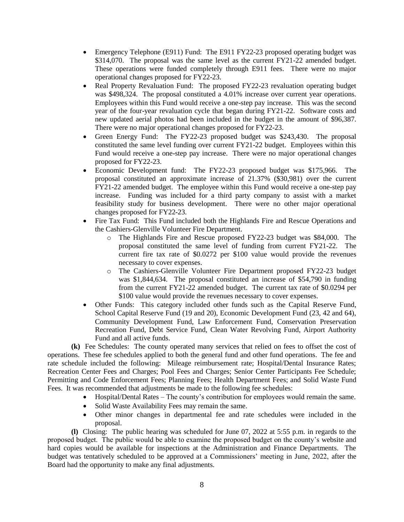- Emergency Telephone (E911) Fund: The E911 FY22-23 proposed operating budget was \$314,070. The proposal was the same level as the current FY21-22 amended budget. These operations were funded completely through E911 fees. There were no major operational changes proposed for FY22-23.
- Real Property Revaluation Fund: The proposed FY22-23 revaluation operating budget was \$498,324. The proposal constituted a 4.01% increase over current year operations. Employees within this Fund would receive a one-step pay increase. This was the second year of the four-year revaluation cycle that began during FY21-22. Software costs and new updated aerial photos had been included in the budget in the amount of \$96,387. There were no major operational changes proposed for FY22-23.
- Green Energy Fund: The FY22-23 proposed budget was \$243,430. The proposal constituted the same level funding over current FY21-22 budget. Employees within this Fund would receive a one-step pay increase. There were no major operational changes proposed for FY22-23.
- Economic Development fund: The FY22-23 proposed budget was \$175,966. The proposal constituted an approximate increase of 21.37% (\$30,981) over the current FY21-22 amended budget. The employee within this Fund would receive a one-step pay increase. Funding was included for a third party company to assist with a market feasibility study for business development. There were no other major operational changes proposed for FY22-23.
- Fire Tax Fund: This Fund included both the Highlands Fire and Rescue Operations and the Cashiers-Glenville Volunteer Fire Department.
	- o The Highlands Fire and Rescue proposed FY22-23 budget was \$84,000. The proposal constituted the same level of funding from current FY21-22. The current fire tax rate of \$0.0272 per \$100 value would provide the revenues necessary to cover expenses.
	- o The Cashiers-Glenville Volunteer Fire Department proposed FY22-23 budget was \$1,844,634. The proposal constituted an increase of \$54,790 in funding from the current FY21-22 amended budget. The current tax rate of \$0.0294 per \$100 value would provide the revenues necessary to cover expenses.
- Other Funds: This category included other funds such as the Capital Reserve Fund, School Capital Reserve Fund (19 and 20), Economic Development Fund (23, 42 and 64), Community Development Fund, Law Enforcement Fund, Conservation Preservation Recreation Fund, Debt Service Fund, Clean Water Revolving Fund, Airport Authority Fund and all active funds.

**(k)** Fee Schedules: The county operated many services that relied on fees to offset the cost of operations. These fee schedules applied to both the general fund and other fund operations. The fee and rate schedule included the following: Mileage reimbursement rate; Hospital/Dental Insurance Rates; Recreation Center Fees and Charges; Pool Fees and Charges; Senior Center Participants Fee Schedule; Permitting and Code Enforcement Fees; Planning Fees; Health Department Fees; and Solid Waste Fund Fees. It was recommended that adjustments be made to the following fee schedules:

- Hospital/Dental Rates The county's contribution for employees would remain the same.
- Solid Waste Availability Fees may remain the same.
- Other minor changes in departmental fee and rate schedules were included in the proposal.

**(l)** Closing: The public hearing was scheduled for June 07, 2022 at 5:55 p.m. in regards to the proposed budget. The public would be able to examine the proposed budget on the county's website and hard copies would be available for inspections at the Administration and Finance Departments. The budget was tentatively scheduled to be approved at a Commissioners' meeting in June, 2022, after the Board had the opportunity to make any final adjustments.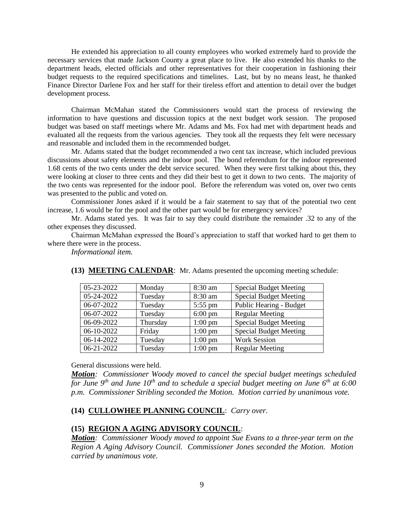He extended his appreciation to all county employees who worked extremely hard to provide the necessary services that made Jackson County a great place to live. He also extended his thanks to the department heads, elected officials and other representatives for their cooperation in fashioning their budget requests to the required specifications and timelines. Last, but by no means least, he thanked Finance Director Darlene Fox and her staff for their tireless effort and attention to detail over the budget development process.

Chairman McMahan stated the Commissioners would start the process of reviewing the information to have questions and discussion topics at the next budget work session. The proposed budget was based on staff meetings where Mr. Adams and Ms. Fox had met with department heads and evaluated all the requests from the various agencies. They took all the requests they felt were necessary and reasonable and included them in the recommended budget.

Mr. Adams stated that the budget recommended a two cent tax increase, which included previous discussions about safety elements and the indoor pool. The bond referendum for the indoor represented 1.68 cents of the two cents under the debt service secured. When they were first talking about this, they were looking at closer to three cents and they did their best to get it down to two cents. The majority of the two cents was represented for the indoor pool. Before the referendum was voted on, over two cents was presented to the public and voted on.

Commissioner Jones asked if it would be a fair statement to say that of the potential two cent increase, 1.6 would be for the pool and the other part would be for emergency services?

Mr. Adams stated yes. It was fair to say they could distribute the remainder .32 to any of the other expenses they discussed.

Chairman McMahan expressed the Board's appreciation to staff that worked hard to get them to where there were in the process.

*Informational item.*

| 05-23-2022 | Monday   | 8:30 am           | <b>Special Budget Meeting</b> |
|------------|----------|-------------------|-------------------------------|
| 05-24-2022 | Tuesday  | 8:30 am           | <b>Special Budget Meeting</b> |
| 06-07-2022 | Tuesday  | $5:55$ pm         | Public Hearing - Budget       |
| 06-07-2022 | Tuesday  | $6:00 \text{ pm}$ | <b>Regular Meeting</b>        |
| 06-09-2022 | Thursday | $1:00 \text{ pm}$ | <b>Special Budget Meeting</b> |
| 06-10-2022 | Friday   | $1:00$ pm         | <b>Special Budget Meeting</b> |
| 06-14-2022 | Tuesday  | $1:00$ pm         | <b>Work Session</b>           |
| 06-21-2022 | Tuesday  | $1:00$ pm         | <b>Regular Meeting</b>        |

#### **(13) MEETING CALENDAR**: Mr. Adams presented the upcoming meeting schedule:

General discussions were held.

*Motion: Commissioner Woody moved to cancel the special budget meetings scheduled for June 9th and June 10th and to schedule a special budget meeting on June 6th at 6:00 p.m. Commissioner Stribling seconded the Motion. Motion carried by unanimous vote.* 

#### **(14) CULLOWHEE PLANNING COUNCIL**: *Carry over.*

### **(15) REGION A AGING ADVISORY COUNCIL**:

*Motion: Commissioner Woody moved to appoint Sue Evans to a three-year term on the Region A Aging Advisory Council. Commissioner Jones seconded the Motion. Motion carried by unanimous vote.*